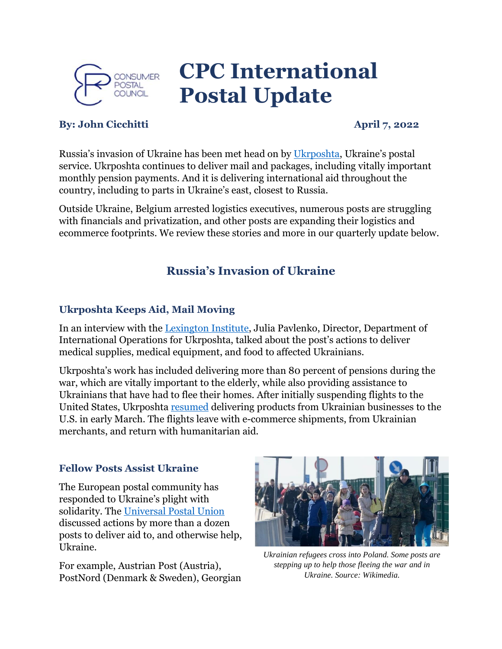

# **CPC International Postal Update**

### **By: John Cicchitti April 7, 2022**

Russia's invasion of Ukraine has been met head on by [Ukrposhta](https://www.ukrposhta.ua/en), Ukraine's postal service. Ukrposhta continues to deliver mail and packages, including vitally important monthly pension payments. And it is delivering international aid throughout the country, including to parts in Ukraine's east, closest to Russia.

Outside Ukraine, Belgium arrested logistics executives, numerous posts are struggling with financials and privatization, and other posts are expanding their logistics and ecommerce footprints. We review these stories and more in our quarterly update below.

# **Russia's Invasion of Ukraine**

#### **Ukrposhta Keeps Aid, Mail Moving**

In an interview with the [Lexington Institute,](https://www.lexingtoninstitute.org/ukraines-postal-service-heroically-delivering-aid-in-country-and-carrying-on/) Julia Pavlenko, Director, Department of International Operations for Ukrposhta, talked about the post's actions to deliver medical supplies, medical equipment, and food to affected Ukrainians.

Ukrposhta's work has included delivering more than 80 percent of pensions during the war, which are vitally important to the elderly, while also providing assistance to Ukrainians that have had to flee their homes. After initially suspending flights to the United States, Ukrposhta [resumed](https://www.ukrposhta.ua/en/news/57575-ukrposhta-has-resumed-flights-to-the-united-states) delivering products from Ukrainian businesses to the U.S. in early March. The flights leave with e-commerce shipments, from Ukrainian merchants, and return with humanitarian aid.

#### **Fellow Posts Assist Ukraine**

The European postal community has responded to Ukraine's plight with solidarity. The [Universal Postal Union](https://www.upu.int/en/Members-Centre/Postal-solidarity-in-action) discussed actions by more than a dozen posts to deliver aid to, and otherwise help, Ukraine.

For example, Austrian Post (Austria), PostNord (Denmark & Sweden), Georgian



*Ukrainian refugees cross into Poland. Some posts are stepping up to help those fleeing the war and in Ukraine. Source: Wikimedia.*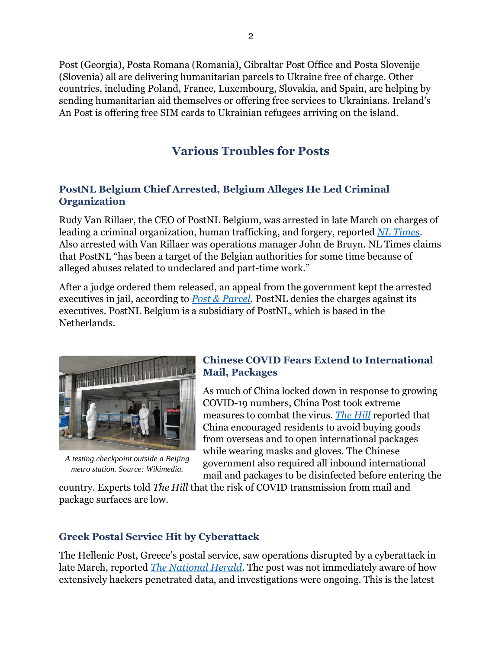Post (Georgia), Posta Romana (Romania), Gibraltar Post Office and Posta Slovenije (Slovenia) all are delivering humanitarian parcels to Ukraine free of charge. Other countries, including Poland, France, Luxembourg, Slovakia, and Spain, are helping by sending humanitarian aid themselves or offering free services to Ukrainians. Ireland's An Post is offering free SIM cards to Ukrainian refugees arriving on the island.

# **Various Troubles for Posts**

#### **PostNL Belgium Chief Arrested, Belgium Alleges He Led Criminal Organization**

Rudy Van Rillaer, the CEO of PostNL Belgium, was arrested in late March on charges of leading a criminal organization, human trafficking, and forgery, reported *[NL Times](https://nltimes.nl/2022/04/02/postnl-belgium-ceo-released-conditions)*. Also arrested with Van Rillaer was operations manager John de Bruyn. NL Times claims that PostNL "has been a target of the Belgian authorities for some time because of alleged abuses related to undeclared and part-time work."

After a judge ordered them released, an appeal from the government kept the arrested executives in jail, according to *[Post & Parcel](https://postandparcel.info/147628/news/parcel/postnl-our-way-of-working-does-not-in-any-way-resemble-the-picture-being-painted-in-the-media/)*. PostNL denies the charges against its executives. PostNL Belgium is a subsidiary of PostNL, which is based in the Netherlands.



*A testing checkpoint outside a Beijing metro station. Source: Wikimedia.*

#### **Chinese COVID Fears Extend to International Mail, Packages**

As much of China locked down in response to growing COVID-19 numbers, China Post took extreme measures to combat the virus. *[The Hill](https://thehill.com/policy/healthcare/public-global-health/590120-china-recommends-gloves-masks-when-opening/)* reported that China encouraged residents to avoid buying goods from overseas and to open international packages while wearing masks and gloves. The Chinese government also required all inbound international mail and packages to be disinfected before entering the

country. Experts told *The Hill* that the risk of COVID transmission from mail and package surfaces are low.

### **Greek Postal Service Hit by Cyberattack**

The Hellenic Post, Greece's postal service, saw operations disrupted by a cyberattack in late March, reported *[The National Herald](https://www.thenationalherald.com/cyberattack-hits-greek-postal-data-centers-service-disrupted/)*. The post was not immediately aware of how extensively hackers penetrated data, and investigations were ongoing. This is the latest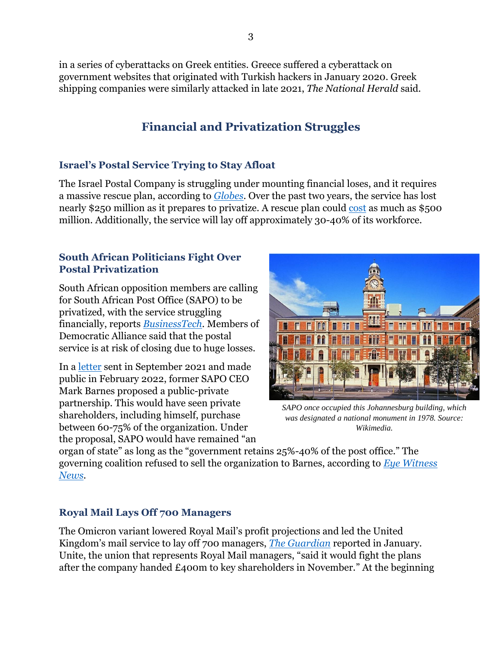in a series of cyberattacks on Greek entities. Greece suffered a cyberattack on government websites that originated with Turkish hackers in January 2020. Greek shipping companies were similarly attacked in late 2021, *The National Herald* said.

# **Financial and Privatization Struggles**

#### **Israel's Postal Service Trying to Stay Afloat**

The Israel Postal Company is struggling under mounting financial loses, and it requires a massive rescue plan, according to *[Globes](https://en.globes.co.il/en/article-israel-postal-co-near-collapse-1001404287)*. Over the past two years, the service has lost nearly \$250 million as it prepares to privatize. A rescue plan could [cost](https://en.globes.co.il/en/article-israel-post-recovery-plan-seen-costing-nis-17b-1001408200) as much as \$500 million. Additionally, the service will lay off approximately 30-40% of its workforce.

#### **South African Politicians Fight Over Postal Privatization**

South African opposition members are calling for South African Post Office (SAPO) to be privatized, with the service struggling financially, reports *[BusinessTech](https://businesstech.co.za/news/government/566790/push-to-privatise-south-africas-post-office/)*. Members of Democratic Alliance said that the postal service is at risk of closing due to huge losses.

In a [letter](https://www.businesslive.co.za/bd/opinion/columnists/2022-02-09-mark-barnes-my-proposal-for-turning-the-post-office-into-a-national-treasure/) sent in September 2021 and made public in February 2022, former SAPO CEO Mark Barnes proposed a public-private partnership. This would have seen private shareholders, including himself, purchase between 60-75% of the organization. Under the proposal, SAPO would have remained "an



*SAPO once occupied this Johannesburg building, which was designated a national monument in 1978. Source: Wikimedia.*

organ of state" as long as the "government retains 25%-40% of the post office." The governing coalition refused to sell the organization to Barnes, according to *[Eye Witness](https://ewn.co.za/2022/03/24/government-not-interested-in-selling-sapo-to-former-ceo)  [News](https://ewn.co.za/2022/03/24/government-not-interested-in-selling-sapo-to-former-ceo)*.

### **Royal Mail Lays Off 700 Managers**

The Omicron variant lowered Royal Mail's profit projections and led the United Kingdom's mail service to lay off 700 managers, *The [Guardian](https://www.theguardian.com/business/2022/jan/25/royal-mail-to-cut-700-managers-after-omicron-delivery-crisis)* reported in January. Unite, the union that represents Royal Mail managers, "said it would fight the plans after the company handed £400m to key shareholders in November." At the beginning